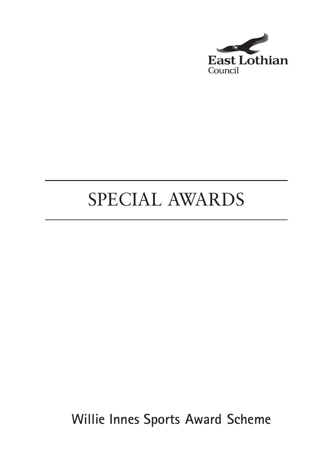

## SPECIAL AWARDS

**Willie Innes Sports Award Scheme**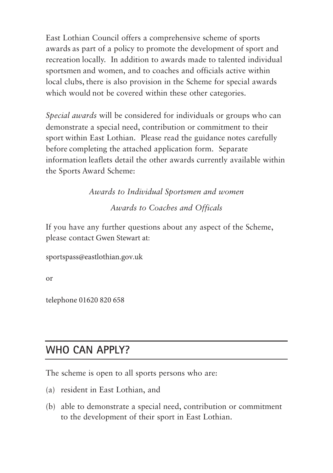East Lothian Council offers a comprehensive scheme of sports awards as part of a policy to promote the development of sport and recreation locally. In addition to awards made to talented individual sportsmen and women, and to coaches and officials active within local clubs, there is also provision in the Scheme for special awards which would not be covered within these other categories.

*Special awards* will be considered for individuals or groups who can demonstrate a special need, contribution or commitment to their sport within East Lothian. Please read the guidance notes carefully before completing the attached application form. Separate information leaflets detail the other awards currently available within the Sports Award Scheme:

> *Awards to Individual Sportsmen and women Awards to Coaches and Officals*

If you have any further questions about any aspect of the Scheme, please contact Gwen Stewart at:

sportspass@eastlothian.gov.uk

or

telephone 01620 820 658

## **WHO CAN APPLY?**

The scheme is open to all sports persons who are:

- (a) resident in East Lothian, and
- (b) able to demonstrate a special need, contribution or commitment to the development of their sport in East Lothian.